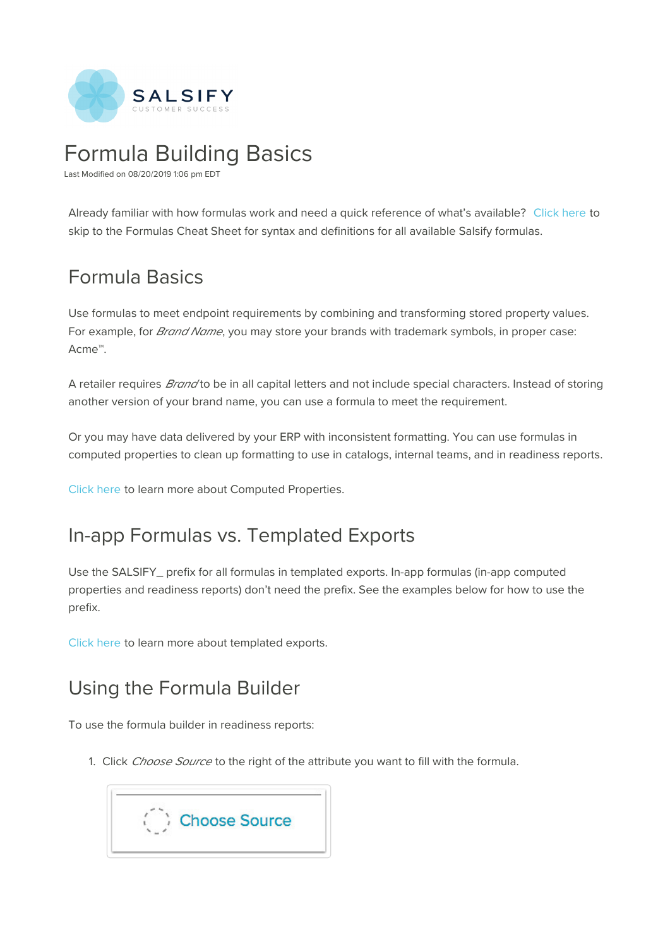

# Formula Building Basics

Last Modified on 08/20/2019 1:06 pm EDT

Already familiar with how formulas work and need a quick reference of what's available? Click here to skip to the Formulas Cheat Sheet for syntax and definitions for all available Salsify formulas.

# Formula Basics

Use formulas to meet endpoint requirements by combining and transforming stored property values. For example, for *Brand Name*, you may store your brands with trademark symbols, in proper case: Acme™.

A retailer requires *Brand* to be in all capital letters and not include special characters. Instead of storing another version of your brand name, you can use a formula to meet the requirement.

Or you may have data delivered by your ERP with inconsistent formatting. You can use formulas in computed properties to clean up formatting to use in catalogs, internal teams, and in readiness reports.

Click here to learn more about Computed Properties.

## In-app Formulas vs. Templated Exports

Use the SALSIFY\_ prefix for all formulas in templated exports. In-app formulas (in-app computed properties and readiness reports) don't need the prefix. See the examples below for how to use the prefix.

Click here to learn more about templated exports.

## Using the Formula Builder

To use the formula builder in readiness reports:

1. Click Choose Source to the right of the attribute you want to fill with the formula.

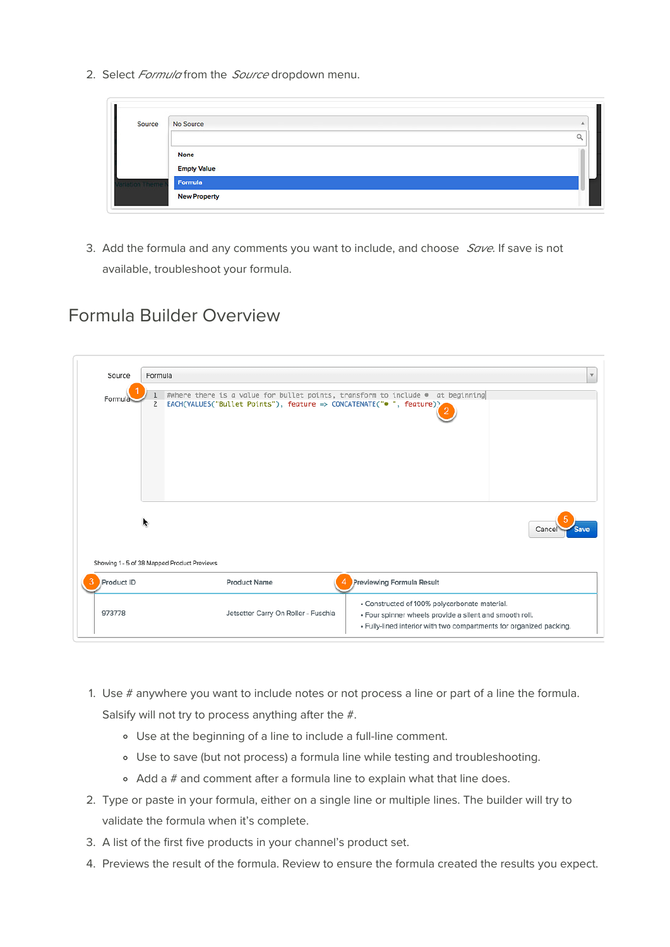2. Select Formula from the Source dropdown menu.

| Source      | No Source              |  |
|-------------|------------------------|--|
|             |                        |  |
|             | <b>None</b><br>7292579 |  |
|             | <b>Empty Value</b>     |  |
| ation Theme | Formula                |  |
|             | <b>New Property</b>    |  |

3. Add the formula and any comments you want to include, and choose  $Save$ . If save is not available, troubleshoot your formula.

### Formula Builder Overview

| Source                                      | Formula             |                                                                                                                                                        | $\mathbf{v}$                                                                                                                                                                    |
|---------------------------------------------|---------------------|--------------------------------------------------------------------------------------------------------------------------------------------------------|---------------------------------------------------------------------------------------------------------------------------------------------------------------------------------|
| Formula                                     | 1<br>$\overline{2}$ | #where there is a value for bullet points, transform to include . at beginning<br>EACH(VALUES("Bullet Points"), feature => CONCATENATE("• ", feature)) |                                                                                                                                                                                 |
| Showing 1 - 5 of 38 Mapped Product Previews |                     |                                                                                                                                                        | Cancel                                                                                                                                                                          |
| <b>Product ID</b>                           |                     | <b>Product Name</b>                                                                                                                                    | Previewing Formula Result                                                                                                                                                       |
| 973778                                      |                     | Jetsetter Carry On Roller - Fuschia                                                                                                                    | · Constructed of 100% polycarbonate material.<br>· Four spinner wheels provide a silent and smooth roll.<br>- Fully-lined interior with two compartments for organized packing. |

- 1. Use # anywhere you want to include notes or not process a line or part of a line the formula. Salsify will not try to process anything after the #.
	- Use at the beginning of a line to include a full-line comment.
	- Use to save (but not process) a formula line while testing and troubleshooting.
	- $\circ$  Add a  $\#$  and comment after a formula line to explain what that line does.
- 2. Type or paste in your formula, either on a single line or multiple lines. The builder will try to validate the formula when it's complete.
- 3. A list of the first five products in your channel's product set.
- 4. Previews the result of the formula. Review to ensure the formula created the results you expect.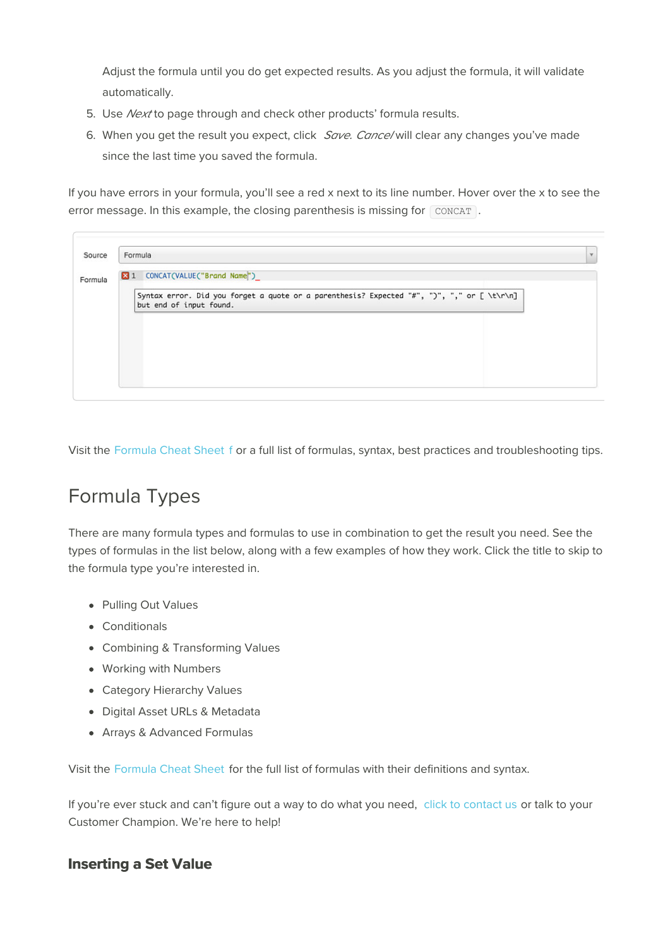Adjust the formula until you do get expected results. As you adjust the formula, it will validate automatically.

- 5. Use Next to page through and check other products' formula results.
- 6. When you get the result you expect, click Save. Cance/ will clear any changes you've made since the last time you saved the formula.

If you have errors in your formula, you'll see a red x next to its line number. Hover over the x to see the error message. In this example, the closing parenthesis is missing for CONCAT.

| 2 1 CONCAT(VALUE("Brand Name") |                                                                                            |  |
|--------------------------------|--------------------------------------------------------------------------------------------|--|
| but end of input found.        | Syntax error. Did you forget a quote or a parenthesis? Expected "#", ")", "," or [ \t\r\n] |  |
|                                |                                                                                            |  |
|                                |                                                                                            |  |
|                                |                                                                                            |  |
|                                |                                                                                            |  |

Visit the Formula Cheat Sheet f or a full list of formulas, syntax, best practices and troubleshooting tips.

# Formula Types

There are many formula types and formulas to use in combination to get the result you need. See the types of formulas in the list below, along with a few examples of how they work. Click the title to skip to the formula type you're interested in.

- Pulling Out Values
- Conditionals
- Combining & Transforming Values
- Working with Numbers
- Category Hierarchy Values
- Digital Asset URLs & Metadata
- Arrays & Advanced Formulas

Visit the Formula Cheat Sheet for the full list of formulas with their definitions and syntax.

If you're ever stuck and can't figure out a way to do what you need, click to contact us or talk to your Customer Champion. We're here to help!

#### **Inserting a Set Value**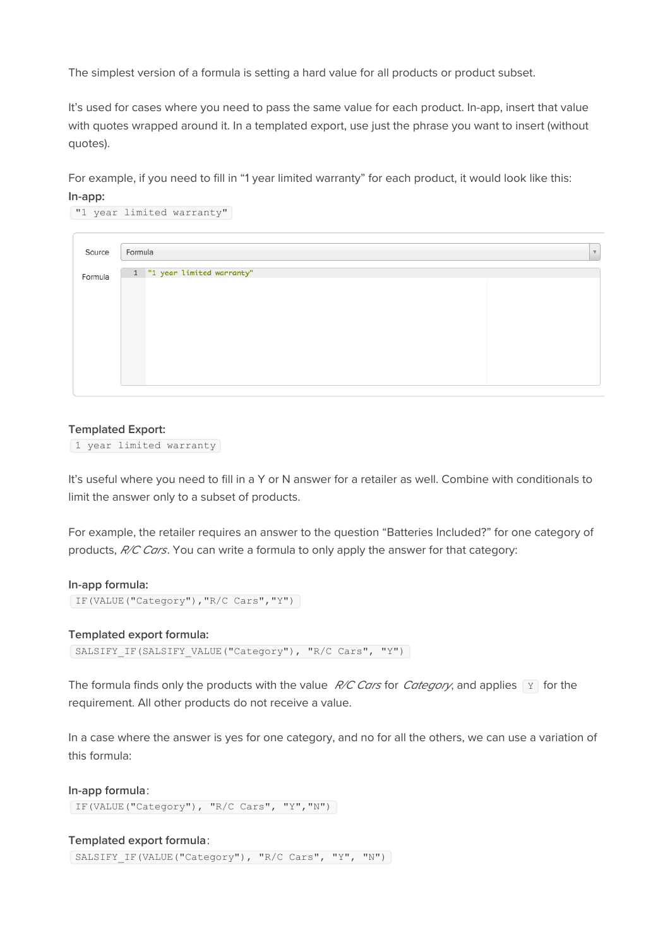The simplest version of a formula is setting a hard value for all products or product subset.

It's used for cases where you need to pass the same value for each product. In-app, insert that value with quotes wrapped around it. In a templated export, use just the phrase you want to insert (without quotes).

For example, if you need to fill in "1 year limited warranty" for each product, it would look like this: **In-app:**

| Formula                     |  |  |  |  |
|-----------------------------|--|--|--|--|
| 1 "1 year limited warranty" |  |  |  |  |
|                             |  |  |  |  |
|                             |  |  |  |  |
|                             |  |  |  |  |
|                             |  |  |  |  |
|                             |  |  |  |  |

#### **Templated Export:**

1 year limited warranty

It's useful where you need to fill in a Y or N answer for a retailer as well. Combine with conditionals to limit the answer only to a subset of products.

For example, the retailer requires an answer to the question "Batteries Included?" for one category of products, R/C Cars. You can write a formula to only apply the answer for that category:

```
In-app formula:
```

```
IF(VALUE("Category"),"R/C Cars","Y")
```
**Templated export formula:**

SALSIFY IF(SALSIFY\_VALUE("Category"), "R/C Cars", "Y")

The formula finds only the products with the value  $R/C$  Cars for Category, and applies  $\boxed{Y}$  for the requirement. All other products do not receive a value.

In a case where the answer is yes for one category, and no for all the others, we can use a variation of this formula:

**In-app formula**: IF(VALUE("Category"), "R/C Cars", "Y","N")

**Templated export formula**: SALSIFY IF(VALUE("Category"), "R/C Cars", "Y", "N")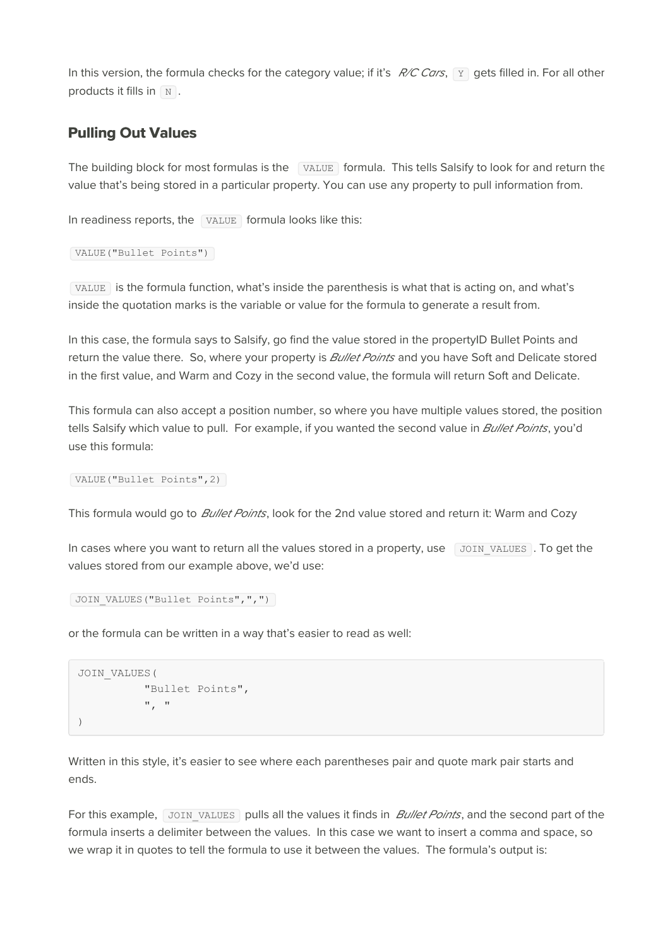In this version, the formula checks for the category value; if it's  $R/C$  Cars,  $\boxed{Y}$  gets filled in. For all other products it fills in  $\boxed{\text{N}}$ .

#### **Pulling Out Values**

The building block for most formulas is the VALUE formula. This tells Salsify to look for and return the value that's being stored in a particular property. You can use any property to pull information from.

In readiness reports, the  $\sqrt{\text{VALUE}}$  formula looks like this:

```
VALUE("Bullet Points")
```
VALUE is the formula function, what's inside the parenthesis is what that is acting on, and what's inside the quotation marks is the variable or value for the formula to generate a result from.

In this case, the formula says to Salsify, go find the value stored in the propertyID Bullet Points and return the value there. So, where your property is **Bullet Points** and you have Soft and Delicate stored in the first value, and Warm and Cozy in the second value, the formula will return Soft and Delicate.

This formula can also accept a position number, so where you have multiple values stored, the position tells Salsify which value to pull. For example, if you wanted the second value in *Bullet Points*, you'd use this formula:

VALUE("Bullet Points",2)

This formula would go to *Bullet Points*, look for the 2nd value stored and return it: Warm and Cozy

In cases where you want to return all the values stored in a property, use  $\sqrt{J}$  JOIN VALUES . To get the values stored from our example above, we'd use:

```
JOIN VALUES("Bullet Points",",")
```
or the formula can be written in a way that's easier to read as well:

```
JOIN_VALUES(
          "Bullet Points",
          ", "
)
```
Written in this style, it's easier to see where each parentheses pair and quote mark pair starts and ends.

For this example, JOIN VALUES pulls all the values it finds in *Bullet Points*, and the second part of the formula inserts a delimiter between the values. In this case we want to insert a comma and space, so we wrap it in quotes to tell the formula to use it between the values. The formula's output is: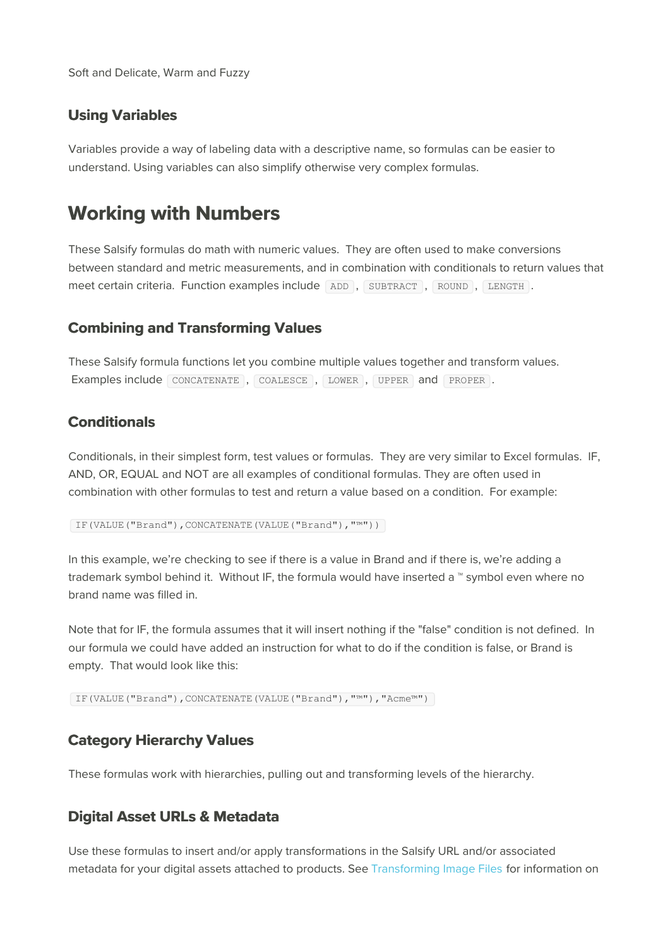Soft and Delicate, Warm and Fuzzy

#### **Using Variables**

Variables provide a way of labeling data with a descriptive name, so formulas can be easier to understand. Using variables can also simplify otherwise very complex formulas.

### **Working with Numbers**

These Salsify formulas do math with numeric values. They are often used to make conversions between standard and metric measurements, and in combination with conditionals to return values that meet certain criteria. Function examples include ADD , SUBTRACT , ROUND , LENGTH .

#### **Combining and Transforming Values**

These Salsify formula functions let you combine multiple values together and transform values. Examples include CONCATENATE , COALESCE , LOWER , UPPER and PROPER .

#### **Conditionals**

Conditionals, in their simplest form, test values or formulas. They are very similar to Excel formulas. IF, AND, OR, EQUAL and NOT are all examples of conditional formulas. They are often used in combination with other formulas to test and return a value based on a condition. For example:

IF(VALUE("Brand"),CONCATENATE(VALUE("Brand"),"™"))

In this example, we're checking to see if there is a value in Brand and if there is, we're adding a trademark symbol behind it. Without IF, the formula would have inserted a ™ symbol even where no brand name was filled in.

Note that for IF, the formula assumes that it will insert nothing if the "false" condition is not defined. In our formula we could have added an instruction for what to do if the condition is false, or Brand is empty. That would look like this:

IF(VALUE("Brand"),CONCATENATE(VALUE("Brand"),"™"),"Acme™")

#### **Category Hierarchy Values**

These formulas work with hierarchies, pulling out and transforming levels of the hierarchy.

#### **Digital Asset URLs & Metadata**

Use these formulas to insert and/or apply transformations in the Salsify URL and/or associated metadata for your digital assets attached to products. See Transforming Image Files for information on